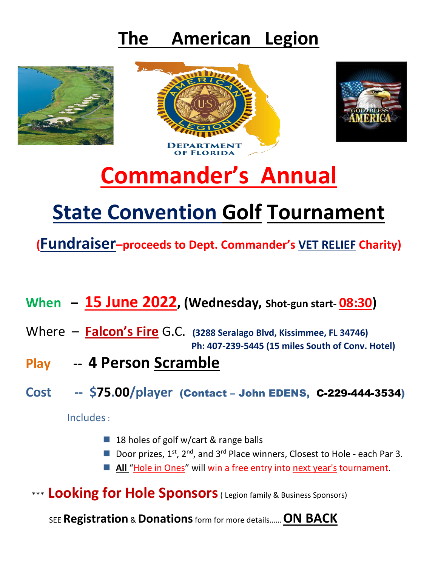### **The American Legion**







# **Commander's Annual**

## **State Convention Golf Tournament**

**(Fundraiser–proceeds to Dept. Commander's VET RELIEF Charity)**

- **When 15 June 2022, (Wednesday, Shot-gun start- 08:30)**
- Where **Falcon's Fire** G.C. **(3288 Seralago Blvd, Kissimmee, FL 34746) Ph: 407-239-5445 (15 miles South of Conv. Hotel)**
- **Play -- 4 Person Scramble**
- **Cost -- \$75.00/player** (Contact John EDENS, C-229-444-3534)

Includes:

- 18 holes of golf w/cart & range balls
- Door prizes,  $1^{st}$ ,  $2^{nd}$ , and  $3^{rd}$  Place winners, Closest to Hole each Par 3.
- All "Hole in Ones" will win a free entry into next year's tournament.
- \*\*\* **Looking for Hole Sponsors**( Legion family & Business Sponsors)

SEE **Registration** & **Donations**form for more details…… **ON BACK**